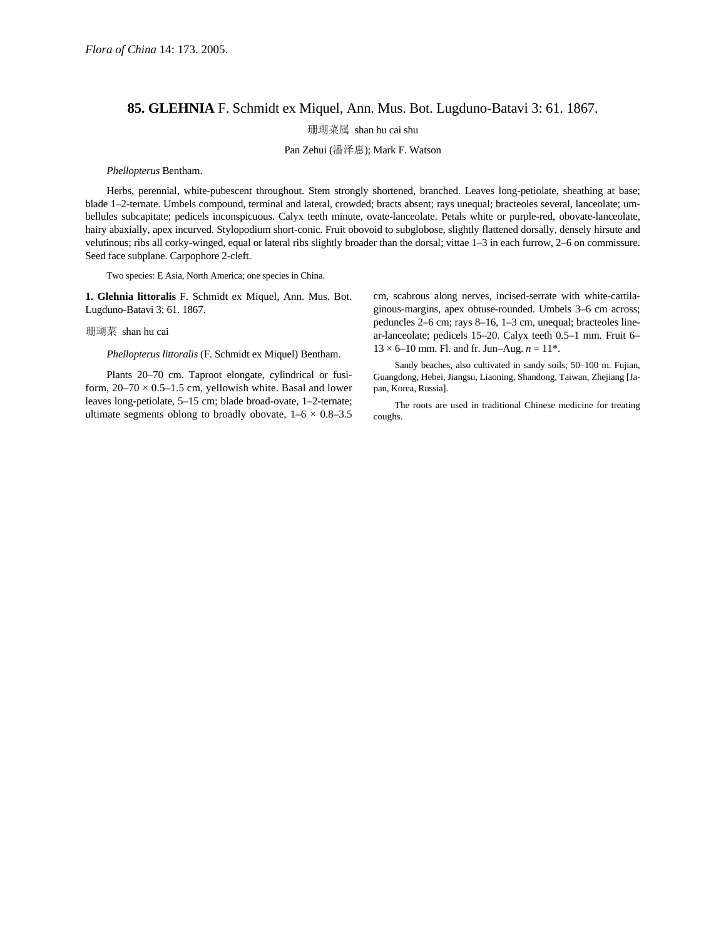## **85. GLEHNIA** F. Schmidt ex Miquel, Ann. Mus. Bot. Lugduno-Batavi 3: 61. 1867.

珊瑚菜属 shan hu cai shu

Pan Zehui (潘泽惠); Mark F. Watson

## *Phellopterus* Bentham.

Herbs, perennial, white-pubescent throughout. Stem strongly shortened, branched. Leaves long-petiolate, sheathing at base; blade 1–2-ternate. Umbels compound, terminal and lateral, crowded; bracts absent; rays unequal; bracteoles several, lanceolate; umbellules subcapitate; pedicels inconspicuous. Calyx teeth minute, ovate-lanceolate. Petals white or purple-red, obovate-lanceolate, hairy abaxially, apex incurved. Stylopodium short-conic. Fruit obovoid to subglobose, slightly flattened dorsally, densely hirsute and velutinous; ribs all corky-winged, equal or lateral ribs slightly broader than the dorsal; vittae 1–3 in each furrow, 2–6 on commissure. Seed face subplane. Carpophore 2-cleft.

Two species: E Asia, North America; one species in China.

**1. Glehnia littoralis** F. Schmidt ex Miquel, Ann. Mus. Bot. Lugduno-Batavi 3: 61. 1867.

## 珊瑚菜 shan hu cai

*Phellopterus littoralis* (F. Schmidt ex Miquel) Bentham.

Plants 20–70 cm. Taproot elongate, cylindrical or fusiform,  $20-70 \times 0.5-1.5$  cm, yellowish white. Basal and lower leaves long-petiolate, 5–15 cm; blade broad-ovate, 1–2-ternate; ultimate segments oblong to broadly obovate,  $1-6 \times 0.8-3.5$  cm, scabrous along nerves, incised-serrate with white-cartilaginous-margins, apex obtuse-rounded. Umbels 3–6 cm across; peduncles 2–6 cm; rays 8–16, 1–3 cm, unequal; bracteoles linear-lanceolate; pedicels 15–20. Calyx teeth 0.5–1 mm. Fruit 6–  $13 \times 6$ –10 mm. Fl. and fr. Jun–Aug.  $n = 11$ <sup>\*</sup>.

Sandy beaches, also cultivated in sandy soils; 50–100 m. Fujian, Guangdong, Hebei, Jiangsu, Liaoning, Shandong, Taiwan, Zhejiang [Japan, Korea, Russia].

The roots are used in traditional Chinese medicine for treating coughs.